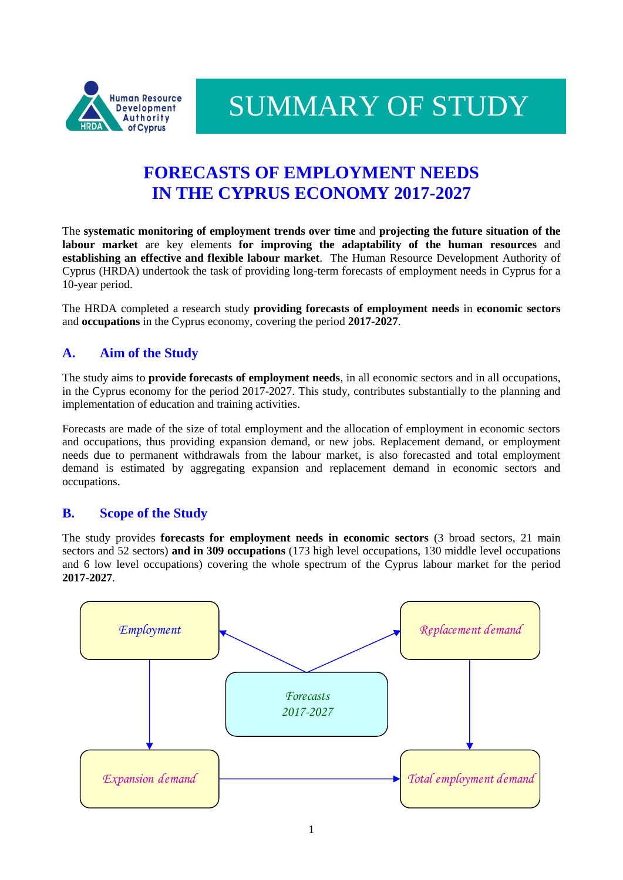

SUMMARY OF STUDY

# **FORECASTS OF EMPLOYMENT NEEDS IN THE CYPRUS ECONOMY 2017-2027**

The **systematic monitoring of employment trends over time** and **projecting the future situation of the labour market** are key elements **for improving the adaptability of the human resources** and **establishing an effective and flexible labour market**. The Human Resource Development Authority of Cyprus (HRDA) undertook the task of providing long-term forecasts of employment needs in Cyprus for a 10-year period.

The HRDA completed a research study **providing forecasts of employment needs** in **economic sectors**  and **occupations** in the Cyprus economy, covering the period **2017-2027**.

## **A. Aim of the Study**

The study aims to **provide forecasts of employment needs**, in all economic sectors and in all occupations, in the Cyprus economy for the period 2017-2027. This study, contributes substantially to the planning and implementation of education and training activities.

Forecasts are made of the size of total employment and the allocation of employment in economic sectors and occupations, thus providing expansion demand, or new jobs. Replacement demand, or employment needs due to permanent withdrawals from the labour market, is also forecasted and total employment demand is estimated by aggregating expansion and replacement demand in economic sectors and occupations.

#### **B. Scope of the Study**

The study provides **forecasts for employment needs in economic sectors** (3 broad sectors, 21 main sectors and 52 sectors) **and in 309 occupations** (173 high level occupations, 130 middle level occupations and 6 low level occupations) covering the whole spectrum of the Cyprus labour market for the period **2017-2027**.

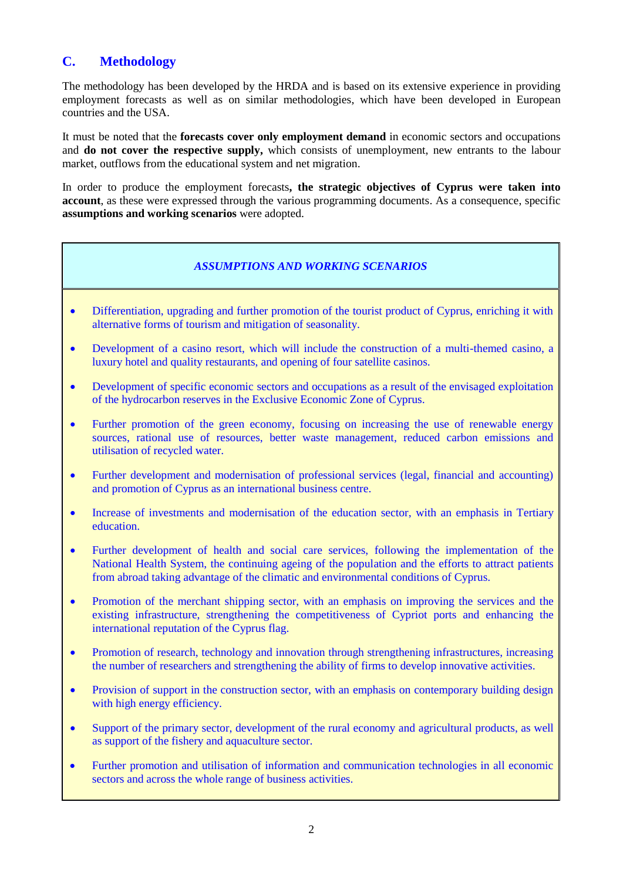## **C. Methodology**

The methodology has been developed by the HRDA and is based on its extensive experience in providing employment forecasts as well as on similar methodologies, which have been developed in European countries and the USA.

It must be noted that the **forecasts cover only employment demand** in economic sectors and occupations and **do not cover the respective supply,** which consists of unemployment, new entrants to the labour market, outflows from the educational system and net migration.

In order to produce the employment forecasts**, the strategic objectives of Cyprus were taken into account**, as these were expressed through the various programming documents. As a consequence, specific **assumptions and working scenarios** were adopted.

#### *ASSUMPTIONS AND WORKING SCENARIOS*

- Differentiation, upgrading and further promotion of the tourist product of Cyprus, enriching it with alternative forms of tourism and mitigation of seasonality.
- Development of a casino resort, which will include the construction of a multi-themed casino, a luxury hotel and quality restaurants, and opening of four satellite casinos.
- Development of specific economic sectors and occupations as a result of the envisaged exploitation of the hydrocarbon reserves in the Exclusive Economic Zone of Cyprus.
- Further promotion of the green economy, focusing on increasing the use of renewable energy sources, rational use of resources, better waste management, reduced carbon emissions and utilisation of recycled water.
- Further development and modernisation of professional services (legal, financial and accounting) and promotion of Cyprus as an international business centre.
- Increase of investments and modernisation of the education sector, with an emphasis in Tertiary education.
- Further development of health and social care services, following the implementation of the National Health System, the continuing ageing of the population and the efforts to attract patients from abroad taking advantage of the climatic and environmental conditions of Cyprus.
- Promotion of the merchant shipping sector, with an emphasis on improving the services and the existing infrastructure, strengthening the competitiveness of Cypriot ports and enhancing the international reputation of the Cyprus flag.
- Promotion of research, technology and innovation through strengthening infrastructures, increasing the number of researchers and strengthening the ability of firms to develop innovative activities.
- Provision of support in the construction sector, with an emphasis on contemporary building design with high energy efficiency.
- Support of the primary sector, development of the rural economy and agricultural products, as well as support of the fishery and aquaculture sector.
- Further promotion and utilisation of information and communication technologies in all economic sectors and across the whole range of business activities.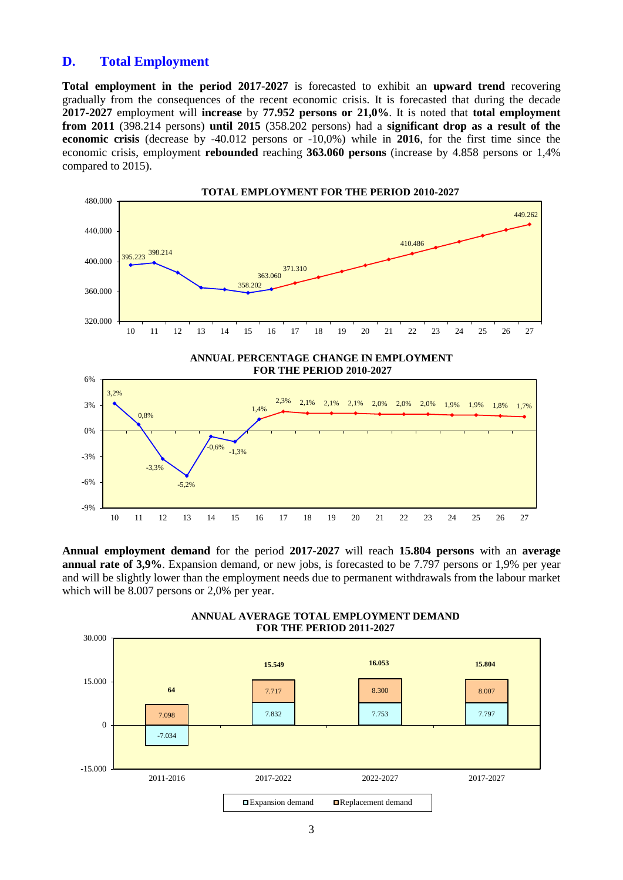#### **D. Total Employment**

**Total employment in the period 2017-2027** is forecasted to exhibit an **upward trend** recovering gradually from the consequences of the recent economic crisis. It is forecasted that during the decade **2017-2027** employment will **increase** by **77.952 persons or 21,0%**. It is noted that **total employment from 2011** (398.214 persons) **until 2015** (358.202 persons) had a **significant drop as a result of the economic crisis** (decrease by -40.012 persons or -10,0%) while in **2016**, for the first time since the economic crisis, employment **rebounded** reaching **363.060 persons** (increase by 4.858 persons or 1,4% compared to 2015).



**Annual employment demand** for the period **2017-2027** will reach **15.804 persons** with an **average annual rate of 3,9%**. Expansion demand, or new jobs, is forecasted to be 7.797 persons or 1,9% per year and will be slightly lower than the employment needs due to permanent withdrawals from the labour market which will be 8.007 persons or 2,0% per year.



**ANNUAL AVERAGE TOTAL EMPLOYMENT DEMAND**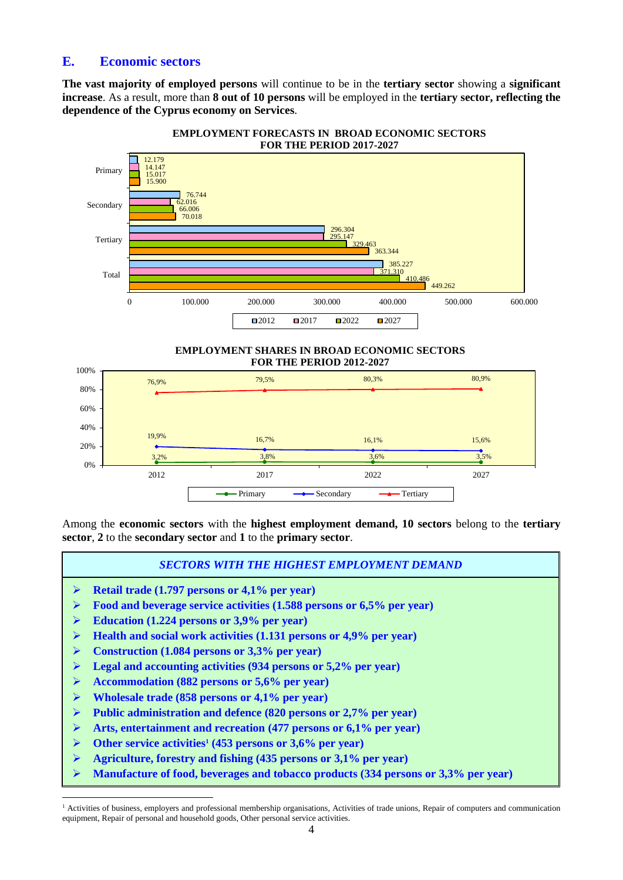### **E. Economic sectors**

**The vast majority of employed persons** will continue to be in the **tertiary sector** showing a **significant increase**. As a result, more than **8 out of 10 persons** will be employed in the **tertiary sector, reflecting the dependence of the Cyprus economy on Services**.



**EMPLOYMENT FORECASTS IN BROAD ECONOMIC SECTORS**





Among the **economic sectors** with the **highest employment demand, 10 sectors** belong to the **tertiary sector**, **2** to the **secondary sector** and **1** to the **primary sector**.

*SECTORS WITH THE HIGHEST EMPLOYMENT DEMAND*

- **Retail trade (1.797 persons or 4,1% per year)**
- **Food and beverage service activities (1.588 persons or 6,5% per year)**
- **Education (1.224 persons or 3,9% per year)**
- **Health and social work activities (1.131 persons or 4,9% per year)**
- **Construction (1.084 persons or 3,3% per year)**
- **Legal and accounting activities (934 persons or 5,2% per year)**
- **Accommodation (882 persons or 5,6% per year)**
- **Wholesale trade (858 persons or 4,1% per year)**

 $\overline{a}$ 

- **Public administration and defence (820 persons or 2,7% per year)**
- **Arts, entertainment and recreation (477 persons or 6,1% per year)**
- **Other service activities<sup>1</sup> (453 persons or 3,6% per year)**
- **Agriculture, forestry and fishing (435 persons or 3,1% per year)**
- **Manufacture of food, beverages and tobacco products (334 persons or 3,3% per year)**

<sup>&</sup>lt;sup>1</sup> Activities of business, employers and professional membership organisations, Activities of trade unions, Repair of computers and communication equipment, Repair of personal and household goods, Other personal service activities.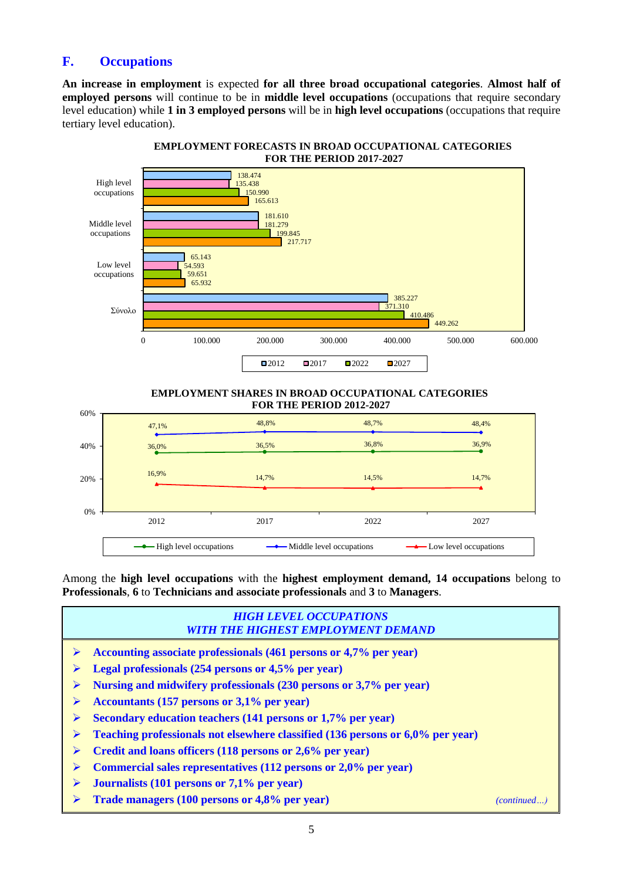## **F. Occupations**

**An increase in employment** is expected **for all three broad occupational categories**. **Almost half of employed persons** will continue to be in **middle level occupations** (occupations that require secondary level education) while **1 in 3 employed persons** will be in **high level occupations** (occupations that require tertiary level education).



**EMPLOYMENT SHARES IN BROAD OCCUPATIONAL CATEGORIES FOR THE PERIOD 2012-2027**



Among the **high level occupations** with the **highest employment demand, 14 occupations** belong to **Professionals**, **6** to **Technicians and associate professionals** and **3** to **Managers**.

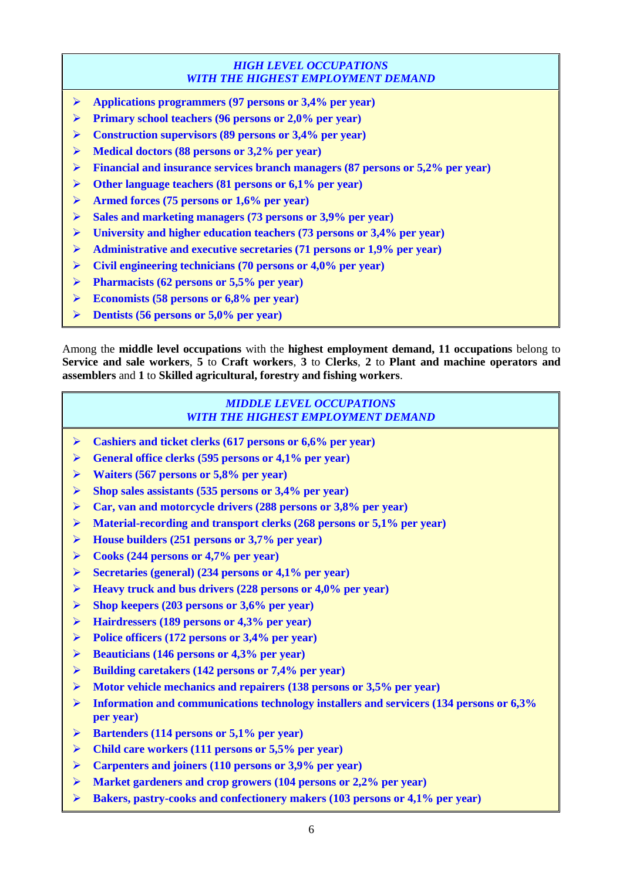#### *HIGH LEVEL OCCUPATIONS WITH THE HIGHEST EMPLOYMENT DEMAND*

- **Applications programmers (97 persons or 3,4% per year)**
- **Primary school teachers (96 persons or 2,0% per year)**
- **Construction supervisors (89 persons or 3,4% per year)**
- **Medical doctors (88 persons or 3,2% per year)**
- **Financial and insurance services branch managers (87 persons or 5,2% per year)**
- **Other language teachers (81 persons or 6,1% per year)**
- **Armed forces (75 persons or 1,6% per year)**
- **Sales and marketing managers (73 persons or 3,9% per year)**
- **University and higher education teachers (73 persons or 3,4% per year)**
- **Administrative and executive secretaries (71 persons or 1,9% per year)**
- **Civil engineering technicians (70 persons or 4,0% per year)**
- **Pharmacists (62 persons or 5,5% per year)**
- **Economists (58 persons or 6,8% per year)**
- **Dentists (56 persons or 5,0% per year)**

Among the **middle level occupations** with the **highest employment demand, 11 occupations** belong to **Service and sale workers**, **5** to **Craft workers**, **3** to **Clerks**, **2** to **Plant and machine operators and assemblers** and **1** to **Skilled agricultural, forestry and fishing workers**.

#### *MIDDLE LEVEL OCCUPATIONS WITH THE HIGHEST EMPLOYMENT DEMAND*

- **Cashiers and ticket clerks (617 persons or 6,6% per year)**
- **General office clerks (595 persons or 4,1% per year)**
- **Waiters (567 persons or 5,8% per year)**
- **Shop sales assistants (535 persons or 3,4% per year)**
- **Car, van and motorcycle drivers (288 persons or 3,8% per year)**
- **Material-recording and transport clerks (268 persons or 5,1% per year)**
- **House builders (251 persons or 3,7% per year)**
- **Cooks (244 persons or 4,7% per year)**
- **Secretaries (general) (234 persons or 4,1% per year)**
- **Heavy truck and bus drivers (228 persons or 4,0% per year)**
- **Shop keepers (203 persons or 3,6% per year)**
- **Hairdressers (189 persons or 4,3% per year)**
- **Police officers (172 persons or 3,4% per year)**
- **Beauticians (146 persons or 4,3% per year)**
- **Building caretakers (142 persons or 7,4% per year)**
- **Motor vehicle mechanics and repairers (138 persons or 3,5% per year)**
- **Information and communications technology installers and servicers (134 persons or 6,3% per year)**
- **Bartenders (114 persons or 5,1% per year)**
- **Child care workers (111 persons or 5,5% per year)**
- **Carpenters and joiners (110 persons or 3,9% per year)**
- **Market gardeners and crop growers (104 persons or 2,2% per year)**
- **Bakers, pastry-cooks and confectionery makers (103 persons or 4,1% per year)**